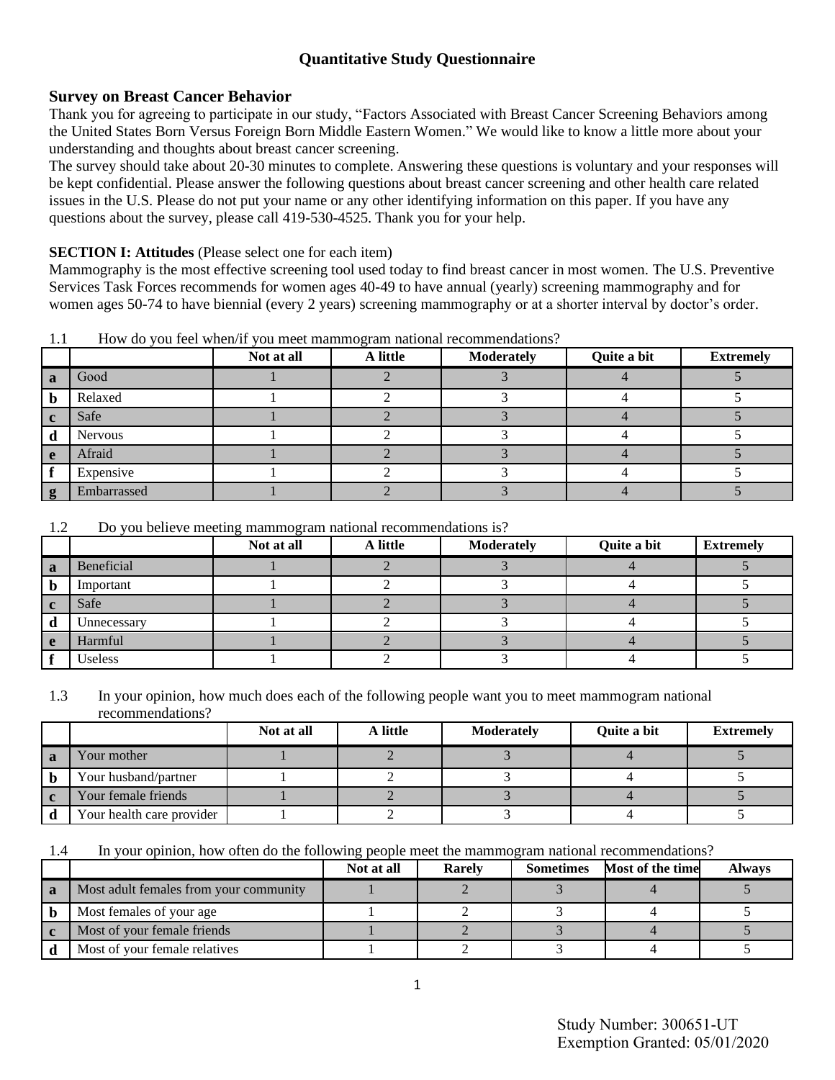# **Quantitative Study Questionnaire**

## **Survey on Breast Cancer Behavior**

Thank you for agreeing to participate in our study, "Factors Associated with Breast Cancer Screening Behaviors among the United States Born Versus Foreign Born Middle Eastern Women." We would like to know a little more about your understanding and thoughts about breast cancer screening.

The survey should take about 20-30 minutes to complete. Answering these questions is voluntary and your responses will be kept confidential. Please answer the following questions about breast cancer screening and other health care related issues in the U.S. Please do not put your name or any other identifying information on this paper. If you have any questions about the survey, please call 419-530-4525. Thank you for your help.

## **SECTION I: Attitudes** (Please select one for each item)

Mammography is the most effective screening tool used today to find breast cancer in most women. The U.S. Preventive Services Task Forces recommends for women ages 40-49 to have annual (yearly) screening mammography and for women ages 50-74 to have biennial (every 2 years) screening mammography or at a shorter interval by doctor's order.

|             |             | Not at all | - 0<br>A little | <b>Moderately</b> | Quite a bit | <b>Extremely</b> |
|-------------|-------------|------------|-----------------|-------------------|-------------|------------------|
| a           | Good        |            |                 |                   |             |                  |
| b           | Relaxed     |            |                 |                   |             |                  |
| $\mathbf c$ | Safe        |            |                 |                   |             |                  |
| d           | Nervous     |            |                 |                   |             |                  |
| e           | Afraid      |            |                 |                   |             |                  |
|             | Expensive   |            |                 |                   |             |                  |
| g           | Embarrassed |            |                 |                   |             |                  |

1.1 How do you feel when/if you meet mammogram national recommendations?

#### 1.2 Do you believe meeting mammogram national recommendations is?

|   |             | Not at all | A little | <b>Moderately</b> | Quite a bit | <b>Extremely</b> |
|---|-------------|------------|----------|-------------------|-------------|------------------|
| a | Beneficial  |            |          |                   |             |                  |
|   | Important   |            |          |                   |             |                  |
|   | Safe        |            |          |                   |             |                  |
| a | Unnecessary |            |          |                   |             |                  |
| e | Harmful     |            |          |                   |             |                  |
|   | Useless     |            |          |                   |             |                  |

1.3 In your opinion, how much does each of the following people want you to meet mammogram national recommendations?

|                           | Not at all | A little | <b>Moderately</b> | Quite a bit | <b>Extremely</b> |
|---------------------------|------------|----------|-------------------|-------------|------------------|
| Your mother               |            |          |                   |             |                  |
| Your husband/partner      |            |          |                   |             |                  |
| Your female friends       |            |          |                   |             |                  |
| Your health care provider |            |          |                   |             |                  |

1.4 In your opinion, how often do the following people meet the mammogram national recommendations?

|     |                                        | Not at all | <b>Rarely</b> | <b>Sometimes</b> | Most of the time | <b>Always</b> |
|-----|----------------------------------------|------------|---------------|------------------|------------------|---------------|
| l a | Most adult females from your community |            |               |                  |                  |               |
|     | Most females of your age               |            |               |                  |                  |               |
|     | Most of your female friends            |            |               |                  |                  |               |
|     | Most of your female relatives          |            |               |                  |                  |               |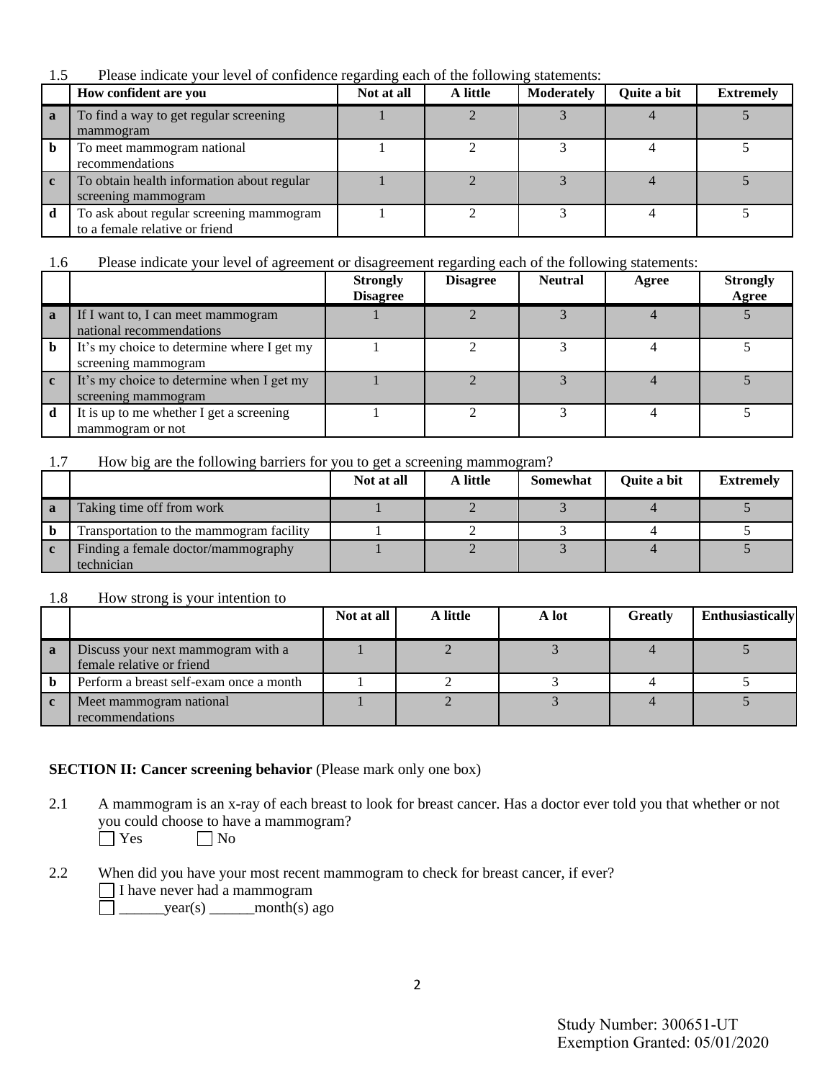1.5 Please indicate your level of confidence regarding each of the following statements:

|              | How confident are you                                                      | Not at all | A little | <b>Moderately</b> | Quite a bit | <b>Extremely</b> |
|--------------|----------------------------------------------------------------------------|------------|----------|-------------------|-------------|------------------|
| $\mathbf{a}$ | To find a way to get regular screening<br>mammogram                        |            |          |                   |             |                  |
| b            | To meet mammogram national<br>recommendations                              |            |          |                   |             |                  |
| $\mathbf{c}$ | To obtain health information about regular<br>screening mammogram          |            |          |                   |             |                  |
| d            | To ask about regular screening mammogram<br>to a female relative or friend |            |          |                   |             |                  |

### 1.6 Please indicate your level of agreement or disagreement regarding each of the following statements:

|              |                                                                   | <b>Strongly</b><br><b>Disagree</b> | <b>Disagree</b> | <b>Neutral</b> | Agree | <b>Strongly</b><br>Agree |
|--------------|-------------------------------------------------------------------|------------------------------------|-----------------|----------------|-------|--------------------------|
| $\mathbf{a}$ | If I want to, I can meet mammogram<br>national recommendations    |                                    |                 |                |       |                          |
|              | It's my choice to determine where I get my<br>screening mammogram |                                    |                 |                |       |                          |
|              | It's my choice to determine when I get my<br>screening mammogram  |                                    |                 |                |       |                          |
|              | It is up to me whether I get a screening<br>mammogram or not      |                                    |                 |                |       |                          |

#### 1.7 How big are the following barriers for you to get a screening mammogram?

|   |                                          | Not at all | A little | <b>Somewhat</b> | Quite a bit | <b>Extremely</b> |
|---|------------------------------------------|------------|----------|-----------------|-------------|------------------|
| a | Taking time off from work                |            |          |                 |             |                  |
|   | Transportation to the mammogram facility |            |          |                 |             |                  |
|   | Finding a female doctor/mammography      |            |          |                 |             |                  |
|   | technician                               |            |          |                 |             |                  |

#### 1.8 How strong is your intention to

|   |                                                                 | Not at all | A little | A lot | <b>Greatly</b> | <b>Enthusiastically</b> |
|---|-----------------------------------------------------------------|------------|----------|-------|----------------|-------------------------|
| a | Discuss your next mammogram with a<br>female relative or friend |            |          |       |                |                         |
|   | Perform a breast self-exam once a month                         |            |          |       |                |                         |
|   | Meet mammogram national<br>recommendations                      |            |          |       |                |                         |

### **SECTION II: Cancer screening behavior** (Please mark only one box)

- 2.1 A mammogram is an x-ray of each breast to look for breast cancer. Has a doctor ever told you that whether or not you could choose to have a mammogram?<br> $\Box$  Yes  $\Box$  No  $\Box$  No
- 2.2 When did you have your most recent mammogram to check for breast cancer, if ever? I have never had a mammogram  $\Box$  year(s) month(s) ago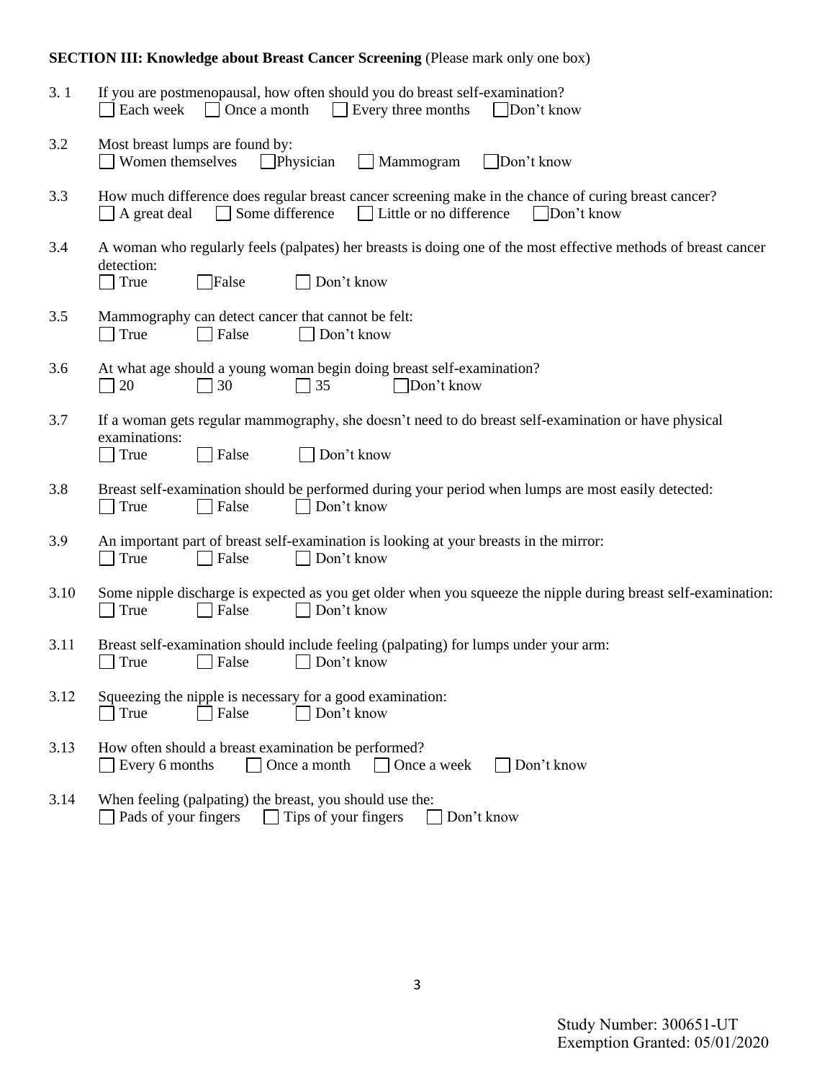# **SECTION III: Knowledge about Breast Cancer Screening (Please mark only one box)**

| 3.1  | If you are postmenopausal, how often should you do breast self-examination?<br>$\Box$ Once a month<br>Every three months<br>Each week<br>  Don't know<br>$\mathbf{I}$            |
|------|----------------------------------------------------------------------------------------------------------------------------------------------------------------------------------|
| 3.2  | Most breast lumps are found by:<br>Women themselves<br>$\Box$ Don't know<br>Physician<br>$\Box$ Mammogram                                                                        |
| 3.3  | How much difference does regular breast cancer screening make in the chance of curing breast cancer?<br>Little or no difference<br>Some difference<br>Don't know<br>A great deal |
| 3.4  | A woman who regularly feels (palpates) her breasts is doing one of the most effective methods of breast cancer<br>detection:<br>False<br>Don't know<br>True                      |
| 3.5  | Mammography can detect cancer that cannot be felt:<br>$\Box$ True<br>Don't know<br>$\Box$ False                                                                                  |
| 3.6  | At what age should a young woman begin doing breast self-examination?<br>20<br>30<br>$\Box$ 35<br>Don't know                                                                     |
| 3.7  | If a woman gets regular mammography, she doesn't need to do breast self-examination or have physical<br>examinations:<br>True<br>False<br>Don't know                             |
| 3.8  | Breast self-examination should be performed during your period when lumps are most easily detected:<br>Don't know<br>True<br>False                                               |
| 3.9  | An important part of breast self-examination is looking at your breasts in the mirror:<br>Don't know<br>True<br>False                                                            |
| 3.10 | Some nipple discharge is expected as you get older when you squeeze the nipple during breast self-examination:<br>False<br>$\Box$ Don't know<br>True                             |
| 3.11 | Breast self-examination should include feeling (palpating) for lumps under your arm:<br>□ Don't know<br>True<br>False                                                            |
| 3.12 | Squeezing the nipple is necessary for a good examination:<br>False<br>Don't know<br>True                                                                                         |
| 3.13 | How often should a breast examination be performed?<br>Once a month<br>Don't know<br>Every 6 months<br>Once a week                                                               |
| 3.14 | When feeling (palpating) the breast, you should use the:<br>Pads of your fingers<br>$\Box$ Tips of your fingers<br>Don't know                                                    |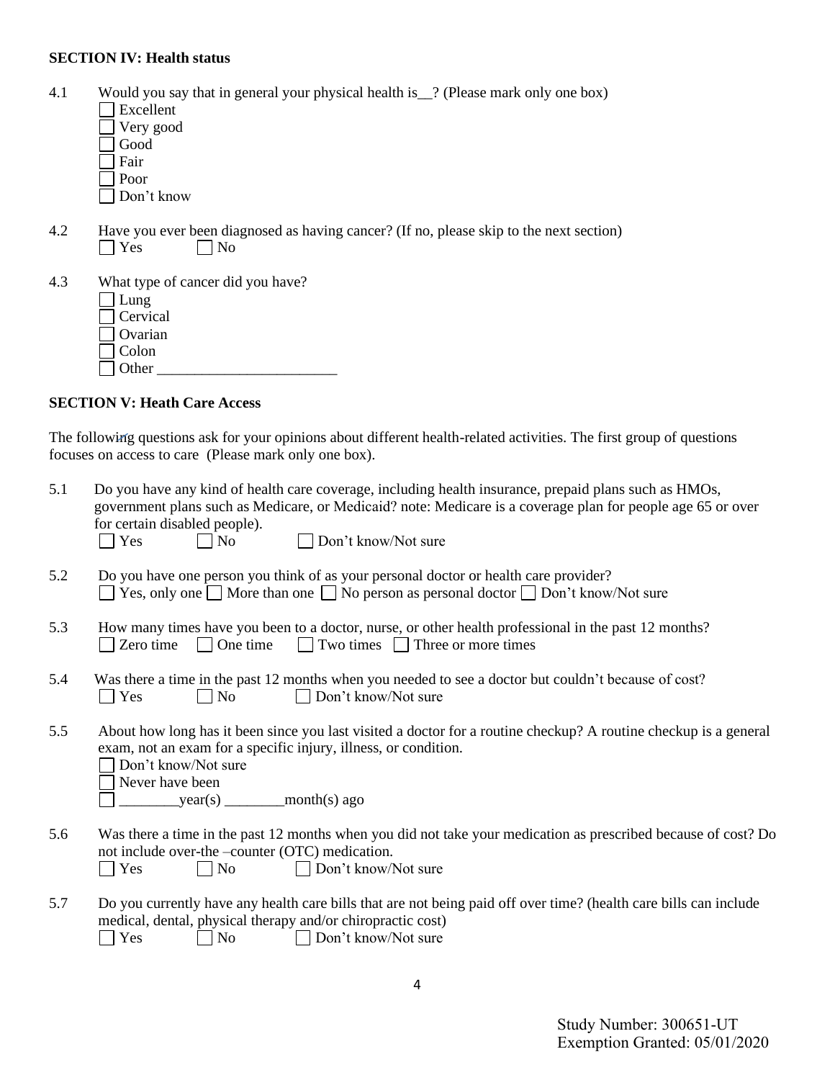#### **SECTION IV: Health status**

- 4.1 Would you say that in general your physical health is\_\_? (Please mark only one box)
	- Excellent Very good  $\overline{\overline{\mathsf{d}}}$  Good
	- Fair
	- Poor
	- Don't know
- 4.2 Have you ever been diagnosed as having cancer? (If no, please skip to the next section)  $\bigcap$  Yes  $\bigcap$  No  $\Box$  No
- 4.3 What type of cancer did you have?  $\Box$  Lung Cervical
	- Ovarian
	-
	- Colon Other \_\_\_\_\_\_\_\_\_\_\_\_\_\_\_\_\_\_\_\_\_\_\_\_
	-

### **SECTION V: Heath Care Access**

The following questions ask for your opinions about different health-related activities. The first group of questions focuses on access to care (Please mark only one box).

| 5.1 | Do you have any kind of health care coverage, including health insurance, prepaid plans such as HMOs,<br>government plans such as Medicare, or Medicaid? note: Medicare is a coverage plan for people age 65 or over<br>for certain disabled people).<br>$\bigcap$ Yes<br>Don't know/Not sure<br>$\vert$ No |
|-----|-------------------------------------------------------------------------------------------------------------------------------------------------------------------------------------------------------------------------------------------------------------------------------------------------------------|
| 5.2 | Do you have one person you think of as your personal doctor or health care provider?<br>$\Box$ Yes, only one $\Box$ More than one $\Box$ No person as personal doctor $\Box$ Don't know/Not sure                                                                                                            |
| 5.3 | How many times have you been to a doctor, nurse, or other health professional in the past 12 months?<br>Two times $\Box$ Three or more times<br>One time<br>Zero time<br>$\mathbf{L}$<br>$\mathbf{I}$                                                                                                       |
| 5.4 | Was there a time in the past 12 months when you needed to see a doctor but couldn't because of cost?<br>Yes<br>No<br>Don't know/Not sure<br>$\blacksquare$                                                                                                                                                  |
| 5.5 | About how long has it been since you last visited a doctor for a routine checkup? A routine checkup is a general<br>exam, not an exam for a specific injury, illness, or condition.<br>Don't know/Not sure<br>Never have been                                                                               |
| 5.6 | Was there a time in the past 12 months when you did not take your medication as prescribed because of cost? Do<br>not include over-the -counter (OTC) medication.<br>Yes<br><b>No</b><br>Don't know/Not sure<br>$\mathcal{L}$                                                                               |
| 5.7 | Do you currently have any health care bills that are not being paid off over time? (health care bills can include<br>medical, dental, physical therapy and/or chiropractic cost)<br>Don't know/Not sure<br>Yes<br>No                                                                                        |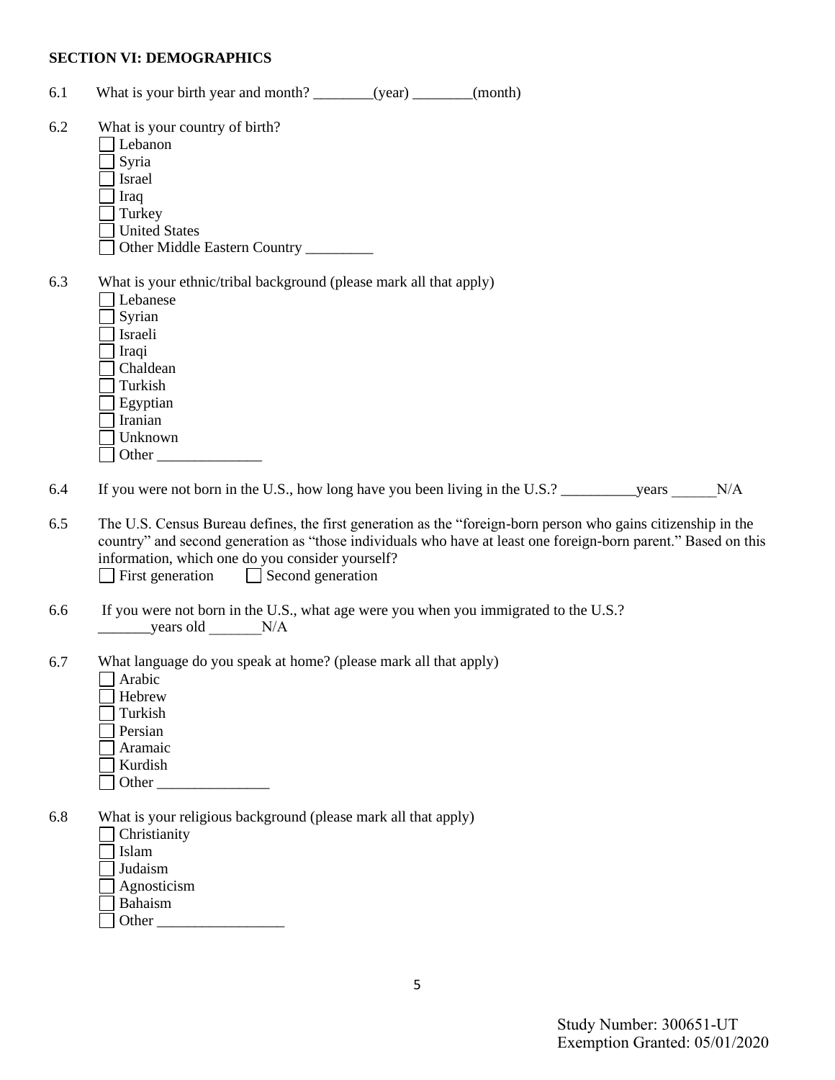#### **SECTION VI: DEMOGRAPHICS**

- 6.1 What is your birth year and month? \_\_\_\_\_\_\_(year) \_\_\_\_\_\_(month)
- 6.2 What is your country of birth?
	- Lebanon
	- Syria
	- Israel
	- Iraq
	- Turkey
	- United States
	- Other Middle Eastern Country \_\_\_\_\_\_\_\_\_
- 6.3 What is your ethnic/tribal background (please mark all that apply)

| Lebanese |
|----------|
| Syrian   |
| Israeli  |
| Iraqi    |
| Chaldean |
| Turkish  |
| Egyptian |
| Iranian  |
| Unknown  |
| Other    |

6.4 If you were not born in the U.S., how long have you been living in the U.S.? \_\_\_\_\_\_\_\_\_\_\_\_\_\_\_\_\_\_\_\_\_\_\_\_\_\_\_\_\_\_\_\_\_N/A

- 6.5 The U.S. Census Bureau defines, the first generation as the "foreign-born person who gains citizenship in the country" and second generation as "those individuals who have at least one foreign-born parent." Based on this information, which one do you consider yourself?  $\Box$  First generation  $\Box$  Second generation
- 6.6 If you were not born in the U.S., what age were you when you immigrated to the U.S.?  $\frac{\text{years old}}{\text{year}}$
- 6.7 What language do you speak at home? (please mark all that apply)
	- Arabic
	- Hebrew
	- Turkish
	- Persian
	- Aramaic
	- Kurdish
	- $\Box$  Other
- 6.8 What is your religious background (please mark all that apply)

Christianity

- Islam
- Judaism
- Agnosticism
- Bahaism
- Other  $\Box$